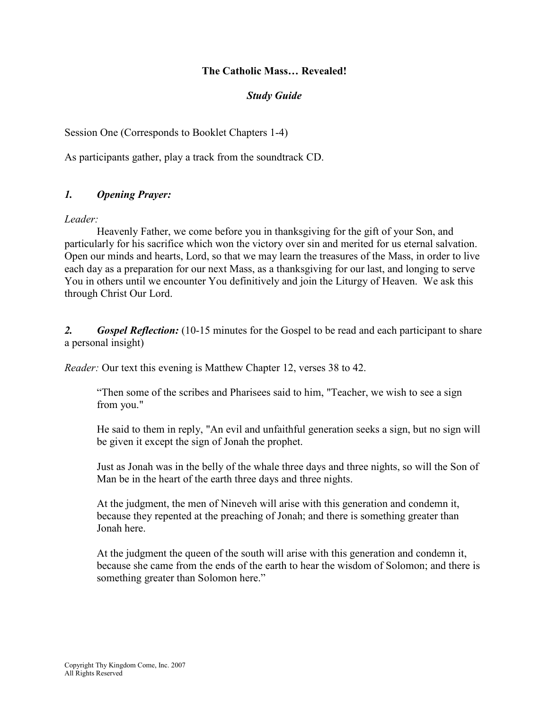### The Catholic Mass… Revealed!

### Study Guide

Session One (Corresponds to Booklet Chapters 1-4)

As participants gather, play a track from the soundtrack CD.

## 1. Opening Prayer:

Leader:

Heavenly Father, we come before you in thanksgiving for the gift of your Son, and particularly for his sacrifice which won the victory over sin and merited for us eternal salvation. Open our minds and hearts, Lord, so that we may learn the treasures of the Mass, in order to live each day as a preparation for our next Mass, as a thanksgiving for our last, and longing to serve You in others until we encounter You definitively and join the Liturgy of Heaven. We ask this through Christ Our Lord.

2. Gospel Reflection: (10-15 minutes for the Gospel to be read and each participant to share a personal insight)

Reader: Our text this evening is Matthew Chapter 12, verses 38 to 42.

"Then some of the scribes and Pharisees said to him, "Teacher, we wish to see a sign from you."

He said to them in reply, "An evil and unfaithful generation seeks a sign, but no sign will be given it except the sign of Jonah the prophet.

Just as Jonah was in the belly of the whale three days and three nights, so will the Son of Man be in the heart of the earth three days and three nights.

At the judgment, the men of Nineveh will arise with this generation and condemn it, because they repented at the preaching of Jonah; and there is something greater than Jonah here.

At the judgment the queen of the south will arise with this generation and condemn it, because she came from the ends of the earth to hear the wisdom of Solomon; and there is something greater than Solomon here."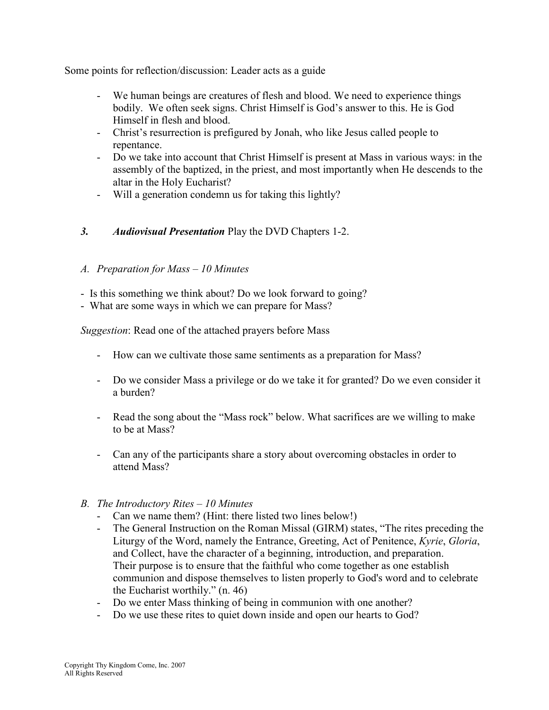Some points for reflection/discussion: Leader acts as a guide

- We human beings are creatures of flesh and blood. We need to experience things bodily. We often seek signs. Christ Himself is God's answer to this. He is God Himself in flesh and blood.
- Christ's resurrection is prefigured by Jonah, who like Jesus called people to repentance.
- Do we take into account that Christ Himself is present at Mass in various ways: in the assembly of the baptized, in the priest, and most importantly when He descends to the altar in the Holy Eucharist?
- Will a generation condemn us for taking this lightly?

# 3. Audiovisual Presentation Play the DVD Chapters 1-2.

## A. Preparation for Mass – 10 Minutes

- Is this something we think about? Do we look forward to going?
- What are some ways in which we can prepare for Mass?

## Suggestion: Read one of the attached prayers before Mass

- How can we cultivate those same sentiments as a preparation for Mass?
- Do we consider Mass a privilege or do we take it for granted? Do we even consider it a burden?
- Read the song about the "Mass rock" below. What sacrifices are we willing to make to be at Mass?
- Can any of the participants share a story about overcoming obstacles in order to attend Mass?
- B. The Introductory Rites  $-10$  Minutes
	- Can we name them? (Hint: there listed two lines below!)
	- The General Instruction on the Roman Missal (GIRM) states, "The rites preceding the Liturgy of the Word, namely the Entrance, Greeting, Act of Penitence, Kyrie, Gloria, and Collect, have the character of a beginning, introduction, and preparation. Their purpose is to ensure that the faithful who come together as one establish communion and dispose themselves to listen properly to God's word and to celebrate the Eucharist worthily." (n. 46)
	- Do we enter Mass thinking of being in communion with one another?
	- Do we use these rites to quiet down inside and open our hearts to God?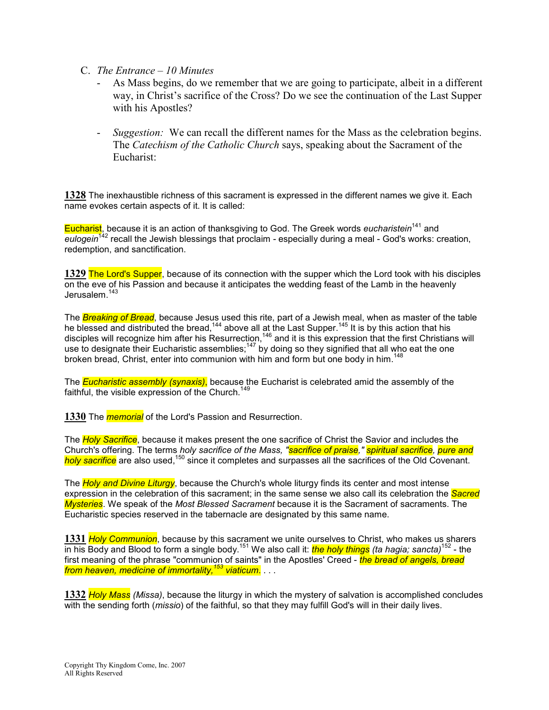- C. The Entrance 10 Minutes
	- As Mass begins, do we remember that we are going to participate, albeit in a different way, in Christ's sacrifice of the Cross? Do we see the continuation of the Last Supper with his Apostles?
	- Suggestion: We can recall the different names for the Mass as the celebration begins. The Catechism of the Catholic Church says, speaking about the Sacrament of the Eucharist:

1328 The inexhaustible richness of this sacrament is expressed in the different names we give it. Each name evokes certain aspects of it. It is called:

Eucharist, because it is an action of thanksgiving to God. The Greek words eucharistein<sup>141</sup> and eulogein<sup>142</sup> recall the Jewish blessings that proclaim - especially during a meal - God's works: creation, redemption, and sanctification.

1329 The Lord's Supper, because of its connection with the supper which the Lord took with his disciples on the eve of his Passion and because it anticipates the wedding feast of the Lamb in the heavenly Jerusalem.<sup>143</sup>

The <mark>*Breaking of Bread</mark>,* because Jesus used this rite, part of a Jewish meal, when as master of the table</mark> he blessed and distributed the bread,<sup>144</sup> above all at the Last Supper.<sup>145</sup> It is by this action that his disciples will recognize him after his Resurrection,<sup>146</sup> and it is this expression that the first Christians will use to designate their Eucharistic assemblies;<sup>147</sup> by doing so they signified that all who eat the one broken bread, Christ, enter into communion with him and form but one body in him.<sup>148</sup>

The **Eucharistic assembly (synaxis)**, because the Eucharist is celebrated amid the assembly of the faithful, the visible expression of the Church.<sup>149</sup>

1330 The *memorial* of the Lord's Passion and Resurrection.

The Holy Sacrifice, because it makes present the one sacrifice of Christ the Savior and includes the Church's offering. The terms *holy sacrifice of the Mass, "<mark>sacrifice of praise</mark>," spiritual sacrifice, pure and* holy sacrifice are also used,<sup>150</sup> since it completes and surpasses all the sacrifices of the Old Covenant.

The *Holy and Divine Liturgy*, because the Church's whole liturgy finds its center and most intense expression in the celebration of this sacrament; in the same sense we also call its celebration the **Sacred Mysteries**. We speak of the Most Blessed Sacrament because it is the Sacrament of sacraments. The Eucharistic species reserved in the tabernacle are designated by this same name.

1331 Holy Communion, because by this sacrament we unite ourselves to Christ, who makes us sharers in his Body and Blood to form a single body.<sup>151</sup> We also call it: the holy things (ta hagia; sancta)<sup>152</sup> - the first meaning of the phrase "communion of saints" in the Apostles' Creed - *the bread of angels, bread* from heaven, medicine of immortality,<sup>153</sup> viaticum. . . .

1332 Holy Mass (Missa), because the liturgy in which the mystery of salvation is accomplished concludes with the sending forth (*missio*) of the faithful, so that they may fulfill God's will in their daily lives.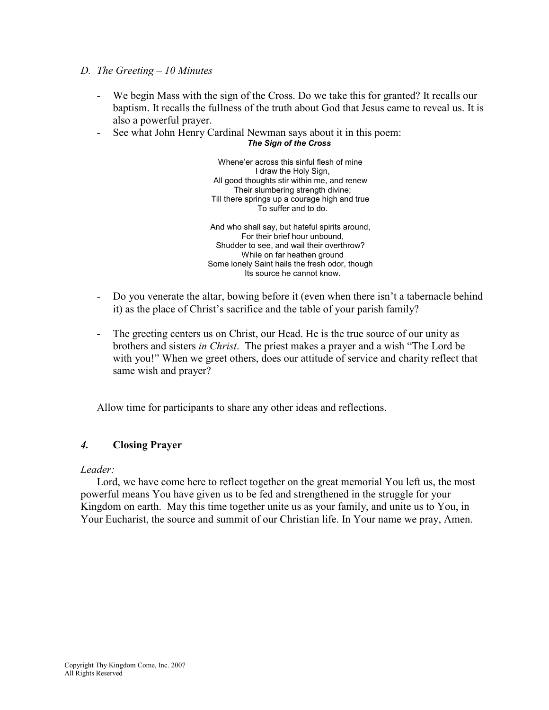- D. The Greeting 10 Minutes
	- We begin Mass with the sign of the Cross. Do we take this for granted? It recalls our baptism. It recalls the fullness of the truth about God that Jesus came to reveal us. It is also a powerful prayer.
	- See what John Henry Cardinal Newman says about it in this poem:

The Sign of the Cross

Whene'er across this sinful flesh of mine I draw the Holy Sign, All good thoughts stir within me, and renew Their slumbering strength divine; Till there springs up a courage high and true To suffer and to do.

And who shall say, but hateful spirits around, For their brief hour unbound, Shudder to see, and wail their overthrow? While on far heathen ground Some lonely Saint hails the fresh odor, though Its source he cannot know.

- Do you venerate the altar, bowing before it (even when there isn't a tabernacle behind it) as the place of Christ's sacrifice and the table of your parish family?
- The greeting centers us on Christ, our Head. He is the true source of our unity as brothers and sisters in Christ. The priest makes a prayer and a wish "The Lord be with you!" When we greet others, does our attitude of service and charity reflect that same wish and prayer?

Allow time for participants to share any other ideas and reflections.

## 4. Closing Prayer

#### Leader:

Lord, we have come here to reflect together on the great memorial You left us, the most powerful means You have given us to be fed and strengthened in the struggle for your Kingdom on earth. May this time together unite us as your family, and unite us to You, in Your Eucharist, the source and summit of our Christian life. In Your name we pray, Amen.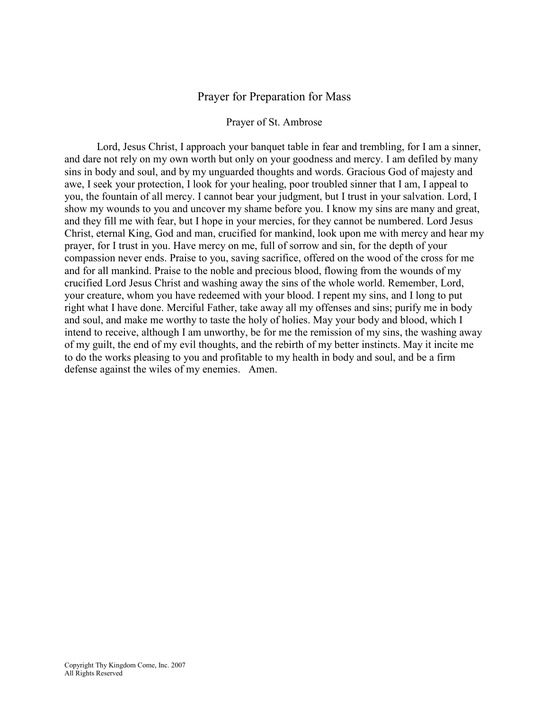#### Prayer for Preparation for Mass

#### Prayer of St. Ambrose

Lord, Jesus Christ, I approach your banquet table in fear and trembling, for I am a sinner, and dare not rely on my own worth but only on your goodness and mercy. I am defiled by many sins in body and soul, and by my unguarded thoughts and words. Gracious God of majesty and awe, I seek your protection, I look for your healing, poor troubled sinner that I am, I appeal to you, the fountain of all mercy. I cannot bear your judgment, but I trust in your salvation. Lord, I show my wounds to you and uncover my shame before you. I know my sins are many and great, and they fill me with fear, but I hope in your mercies, for they cannot be numbered. Lord Jesus Christ, eternal King, God and man, crucified for mankind, look upon me with mercy and hear my prayer, for I trust in you. Have mercy on me, full of sorrow and sin, for the depth of your compassion never ends. Praise to you, saving sacrifice, offered on the wood of the cross for me and for all mankind. Praise to the noble and precious blood, flowing from the wounds of my crucified Lord Jesus Christ and washing away the sins of the whole world. Remember, Lord, your creature, whom you have redeemed with your blood. I repent my sins, and I long to put right what I have done. Merciful Father, take away all my offenses and sins; purify me in body and soul, and make me worthy to taste the holy of holies. May your body and blood, which I intend to receive, although I am unworthy, be for me the remission of my sins, the washing away of my guilt, the end of my evil thoughts, and the rebirth of my better instincts. May it incite me to do the works pleasing to you and profitable to my health in body and soul, and be a firm defense against the wiles of my enemies. Amen.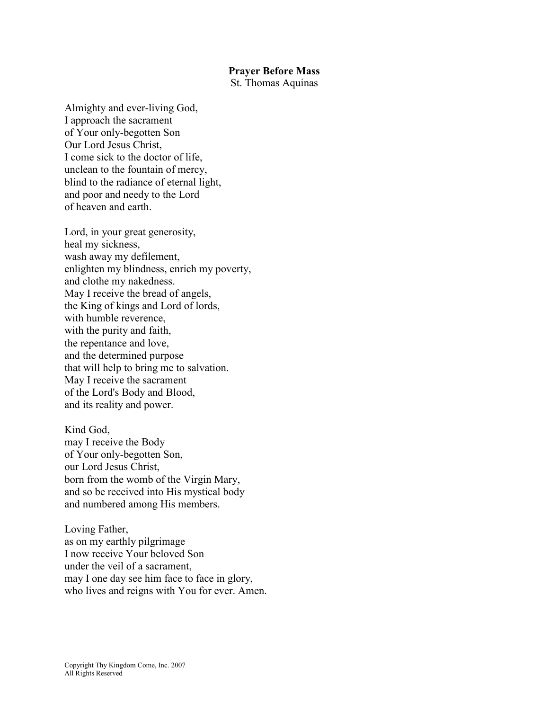#### Prayer Before Mass

St. Thomas Aquinas

Almighty and ever-living God, I approach the sacrament of Your only-begotten Son Our Lord Jesus Christ, I come sick to the doctor of life, unclean to the fountain of mercy, blind to the radiance of eternal light, and poor and needy to the Lord of heaven and earth.

Lord, in your great generosity, heal my sickness, wash away my defilement, enlighten my blindness, enrich my poverty, and clothe my nakedness. May I receive the bread of angels, the King of kings and Lord of lords, with humble reverence, with the purity and faith, the repentance and love, and the determined purpose that will help to bring me to salvation. May I receive the sacrament of the Lord's Body and Blood, and its reality and power.

Kind God, may I receive the Body of Your only-begotten Son, our Lord Jesus Christ, born from the womb of the Virgin Mary, and so be received into His mystical body and numbered among His members.

Loving Father, as on my earthly pilgrimage I now receive Your beloved Son under the veil of a sacrament, may I one day see him face to face in glory, who lives and reigns with You for ever. Amen.